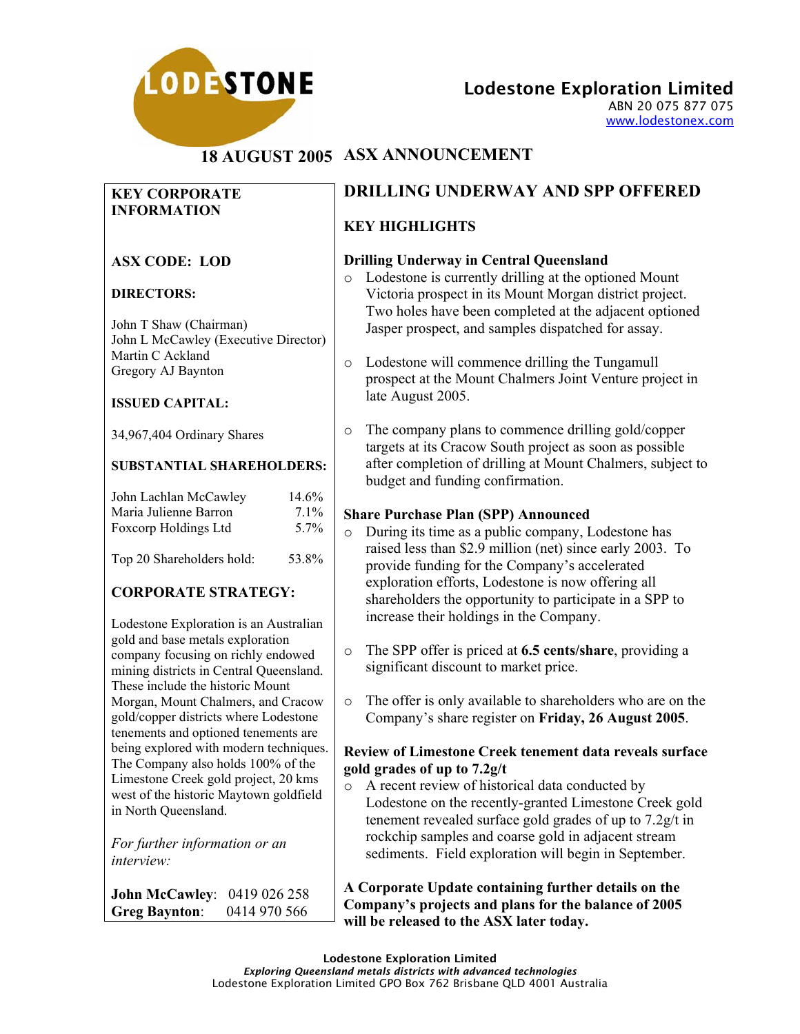

Lodestone Exploration Limited

ABN 20 075 877 075 www.lodestonex.com

# **18 AUGUST 2005 ASX ANNOUNCEMENT**

### **KEY CORPORATE INFORMATION**

## **ASX CODE: LOD**

### **DIRECTORS:**

John T Shaw (Chairman) John L McCawley (Executive Director) Martin C Ackland Gregory AJ Baynton

### **ISSUED CAPITAL:**

34,967,404 Ordinary Shares

### **SUBSTANTIAL SHAREHOLDERS:**

| John Lachlan McCawley | 14.6%   |
|-----------------------|---------|
| Maria Julienne Barron | $7.1\%$ |
| Foxcorp Holdings Ltd  | $5.7\%$ |
|                       |         |

# Top 20 Shareholders hold: 53.8%

# **CORPORATE STRATEGY:**

Lodestone Exploration is an Australian gold and base metals exploration company focusing on richly endowed mining districts in Central Queensland. These include the historic Mount Morgan, Mount Chalmers, and Cracow gold/copper districts where Lodestone tenements and optioned tenements are being explored with modern techniques. The Company also holds 100% of the Limestone Creek gold project, 20 kms west of the historic Maytown goldfield in North Queensland.

*For further information or an interview:* 

**John McCawley**: 0419 026 258 **Greg Baynton**: 0414 970 566

# **DRILLING UNDERWAY AND SPP OFFERED**

# **KEY HIGHLIGHTS**

### **Drilling Underway in Central Queensland**

- o Lodestone is currently drilling at the optioned Mount Victoria prospect in its Mount Morgan district project. Two holes have been completed at the adjacent optioned Jasper prospect, and samples dispatched for assay.
- o Lodestone will commence drilling the Tungamull prospect at the Mount Chalmers Joint Venture project in late August 2005.
- o The company plans to commence drilling gold/copper targets at its Cracow South project as soon as possible after completion of drilling at Mount Chalmers, subject to budget and funding confirmation.

### **Share Purchase Plan (SPP) Announced**

- o During its time as a public company, Lodestone has raised less than \$2.9 million (net) since early 2003. To provide funding for the Company's accelerated exploration efforts, Lodestone is now offering all shareholders the opportunity to participate in a SPP to increase their holdings in the Company.
- o The SPP offer is priced at **6.5 cents/share**, providing a significant discount to market price.
- o The offer is only available to shareholders who are on the Company's share register on **Friday, 26 August 2005**.

### **Review of Limestone Creek tenement data reveals surface gold grades of up to 7.2g/t**

o A recent review of historical data conducted by Lodestone on the recently-granted Limestone Creek gold tenement revealed surface gold grades of up to 7.2g/t in rockchip samples and coarse gold in adjacent stream sediments. Field exploration will begin in September.

#### **A Corporate Update containing further details on the Company's projects and plans for the balance of 2005 will be released to the ASX later today.**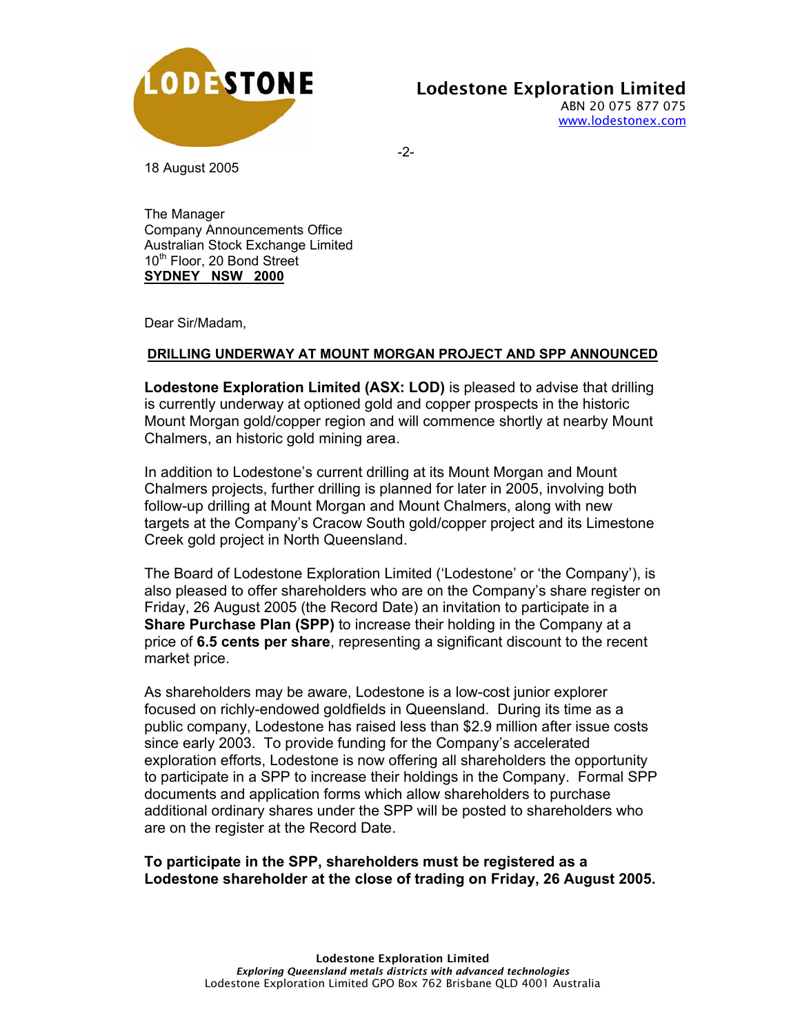

18 August 2005

-2-

The Manager Company Announcements Office Australian Stock Exchange Limited 10<sup>th</sup> Floor, 20 Bond Street **SYDNEY NSW 2000**

Dear Sir/Madam,

### **DRILLING UNDERWAY AT MOUNT MORGAN PROJECT AND SPP ANNOUNCED**

**Lodestone Exploration Limited (ASX: LOD)** is pleased to advise that drilling is currently underway at optioned gold and copper prospects in the historic Mount Morgan gold/copper region and will commence shortly at nearby Mount Chalmers, an historic gold mining area.

In addition to Lodestone's current drilling at its Mount Morgan and Mount Chalmers projects, further drilling is planned for later in 2005, involving both follow-up drilling at Mount Morgan and Mount Chalmers, along with new targets at the Company's Cracow South gold/copper project and its Limestone Creek gold project in North Queensland.

The Board of Lodestone Exploration Limited ('Lodestone' or 'the Company'), is also pleased to offer shareholders who are on the Company's share register on Friday, 26 August 2005 (the Record Date) an invitation to participate in a **Share Purchase Plan (SPP)** to increase their holding in the Company at a price of **6.5 cents per share**, representing a significant discount to the recent market price.

As shareholders may be aware, Lodestone is a low-cost junior explorer focused on richly-endowed goldfields in Queensland. During its time as a public company, Lodestone has raised less than \$2.9 million after issue costs since early 2003. To provide funding for the Company's accelerated exploration efforts, Lodestone is now offering all shareholders the opportunity to participate in a SPP to increase their holdings in the Company. Formal SPP documents and application forms which allow shareholders to purchase additional ordinary shares under the SPP will be posted to shareholders who are on the register at the Record Date.

**To participate in the SPP, shareholders must be registered as a Lodestone shareholder at the close of trading on Friday, 26 August 2005.**